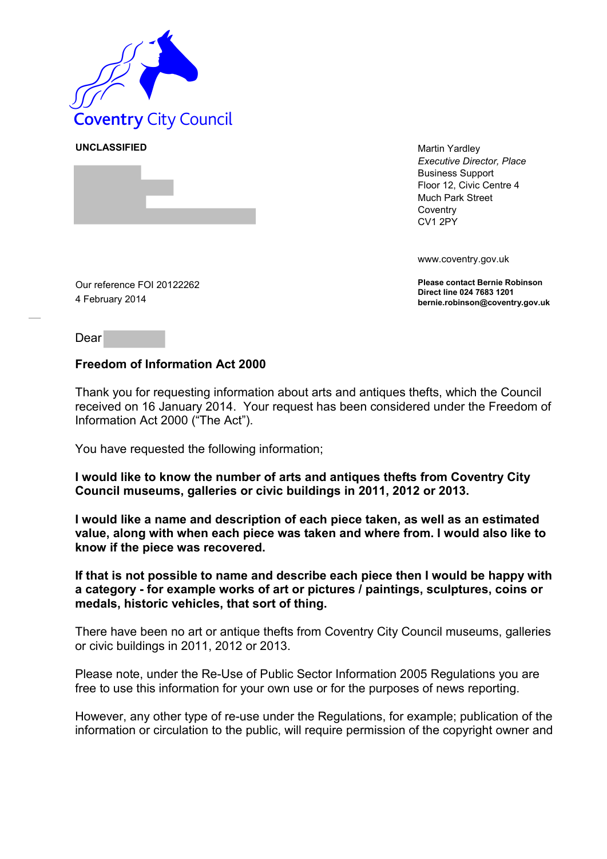

**UNCLASSIFIED** Martin Yardley *Executive Director, Place* Business Support Floor 12, Civic Centre 4 Much Park Street **Coventry** CV1 2PY

www.coventry.gov.uk

**Please contact Bernie Robinson Direct line 024 7683 1201 bernie.robinson@coventry.gov.uk**

Our reference FOI 20122262 4 February 2014

Dear

## **Freedom of Information Act 2000**

Thank you for requesting information about arts and antiques thefts, which the Council received on 16 January 2014. Your request has been considered under the Freedom of Information Act 2000 ("The Act").

You have requested the following information;

**I would like to know the number of arts and antiques thefts from Coventry City Council museums, galleries or civic buildings in 2011, 2012 or 2013.**

**I would like a name and description of each piece taken, as well as an estimated value, along with when each piece was taken and where from. I would also like to know if the piece was recovered.**

**If that is not possible to name and describe each piece then I would be happy with a category - for example works of art or pictures / paintings, sculptures, coins or medals, historic vehicles, that sort of thing.**

There have been no art or antique thefts from Coventry City Council museums, galleries or civic buildings in 2011, 2012 or 2013.

Please note, under the Re-Use of Public Sector Information 2005 Regulations you are free to use this information for your own use or for the purposes of news reporting.

However, any other type of re-use under the Regulations, for example; publication of the information or circulation to the public, will require permission of the copyright owner and